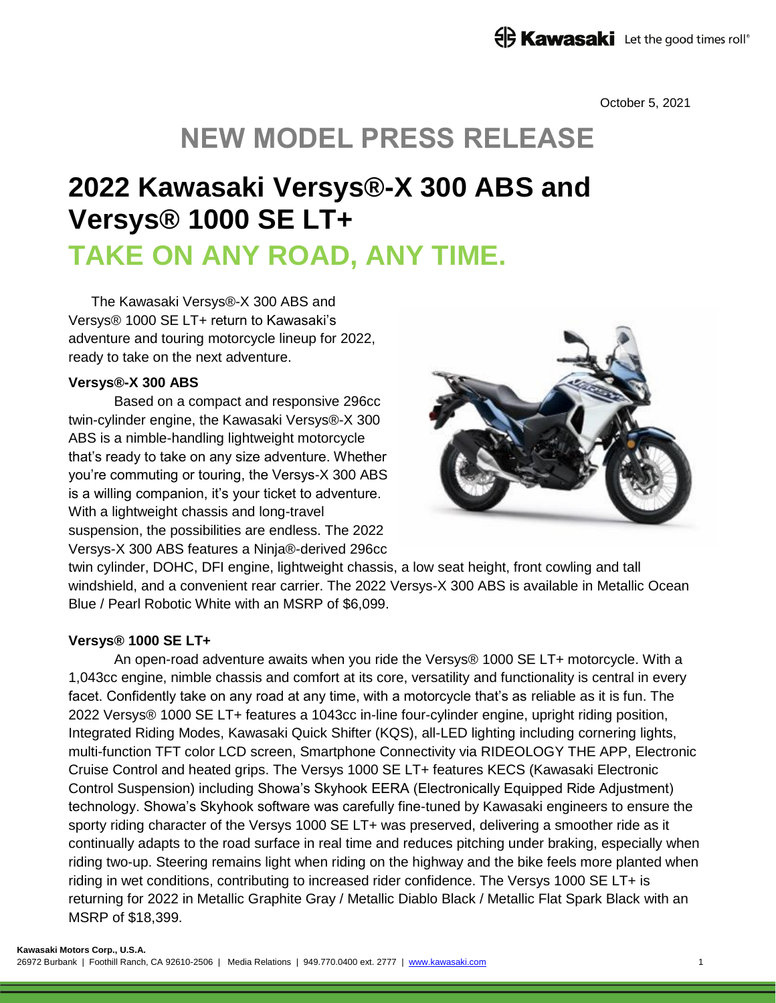### **ED Kawasaki** Let the good times roll®

October 5, 2021

## **NEW MODEL PRESS RELEASE**

# **2022 Kawasaki Versys®-X 300 ABS and Versys® 1000 SE LT+ TAKE ON ANY ROAD, ANY TIME.**

The Kawasaki Versys®-X 300 ABS and Versys® 1000 SE LT+ return to Kawasaki's adventure and touring motorcycle lineup for 2022, ready to take on the next adventure.

#### **Versys®-X 300 ABS**

Based on a compact and responsive 296cc twin-cylinder engine, the Kawasaki Versys®-X 300 ABS is a nimble-handling lightweight motorcycle that's ready to take on any size adventure. Whether you're commuting or touring, the Versys-X 300 ABS is a willing companion, it's your ticket to adventure. With a lightweight chassis and long-travel suspension, the possibilities are endless. The 2022 Versys-X 300 ABS features a Ninja®-derived 296cc



twin cylinder, DOHC, DFI engine, lightweight chassis, a low seat height, front cowling and tall windshield, and a convenient rear carrier. The 2022 Versys-X 300 ABS is available in Metallic Ocean Blue / Pearl Robotic White with an MSRP of \$6,099.

#### **Versys® 1000 SE LT+**

An open-road adventure awaits when you ride the Versys® 1000 SE LT+ motorcycle. With a 1,043cc engine, nimble chassis and comfort at its core, versatility and functionality is central in every facet. Confidently take on any road at any time, with a motorcycle that's as reliable as it is fun. The 2022 Versys® 1000 SE LT+ features a 1043cc in-line four-cylinder engine, upright riding position, Integrated Riding Modes, Kawasaki Quick Shifter (KQS), all-LED lighting including cornering lights, multi-function TFT color LCD screen, Smartphone Connectivity via RIDEOLOGY THE APP, Electronic Cruise Control and heated grips. The Versys 1000 SE LT+ features KECS (Kawasaki Electronic Control Suspension) including Showa's Skyhook EERA (Electronically Equipped Ride Adjustment) technology. Showa's Skyhook software was carefully fine-tuned by Kawasaki engineers to ensure the sporty riding character of the Versys 1000 SE LT+ was preserved, delivering a smoother ride as it continually adapts to the road surface in real time and reduces pitching under braking, especially when riding two-up. Steering remains light when riding on the highway and the bike feels more planted when riding in wet conditions, contributing to increased rider confidence. The Versys 1000 SE LT+ is returning for 2022 in Metallic Graphite Gray / Metallic Diablo Black / Metallic Flat Spark Black with an MSRP of \$18,399.